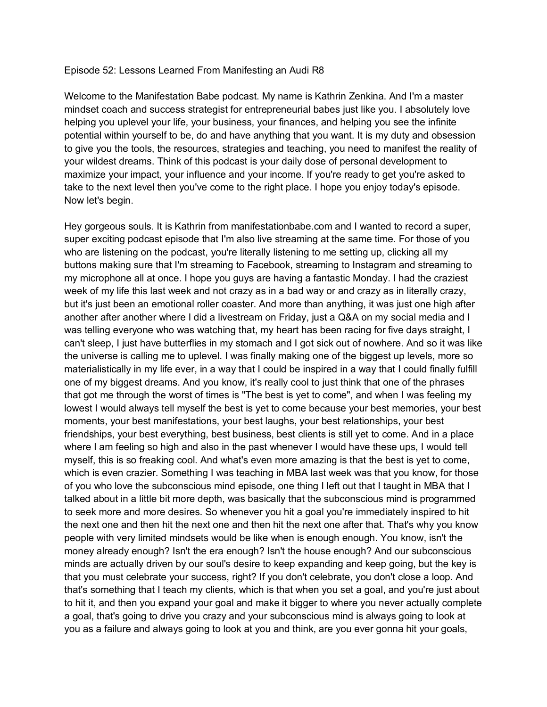## Episode 52: Lessons Learned From Manifesting an Audi R8

Welcome to the Manifestation Babe podcast. My name is Kathrin Zenkina. And I'm a master mindset coach and success strategist for entrepreneurial babes just like you. I absolutely love helping you uplevel your life, your business, your finances, and helping you see the infinite potential within yourself to be, do and have anything that you want. It is my duty and obsession to give you the tools, the resources, strategies and teaching, you need to manifest the reality of your wildest dreams. Think of this podcast is your daily dose of personal development to maximize your impact, your influence and your income. If you're ready to get you're asked to take to the next level then you've come to the right place. I hope you enjoy today's episode. Now let's begin.

Hey gorgeous souls. It is Kathrin from manifestationbabe.com and I wanted to record a super, super exciting podcast episode that I'm also live streaming at the same time. For those of you who are listening on the podcast, you're literally listening to me setting up, clicking all my buttons making sure that I'm streaming to Facebook, streaming to Instagram and streaming to my microphone all at once. I hope you guys are having a fantastic Monday. I had the craziest week of my life this last week and not crazy as in a bad way or and crazy as in literally crazy, but it's just been an emotional roller coaster. And more than anything, it was just one high after another after another where I did a livestream on Friday, just a Q&A on my social media and I was telling everyone who was watching that, my heart has been racing for five days straight, I can't sleep, I just have butterflies in my stomach and I got sick out of nowhere. And so it was like the universe is calling me to uplevel. I was finally making one of the biggest up levels, more so materialistically in my life ever, in a way that I could be inspired in a way that I could finally fulfill one of my biggest dreams. And you know, it's really cool to just think that one of the phrases that got me through the worst of times is "The best is yet to come", and when I was feeling my lowest I would always tell myself the best is yet to come because your best memories, your best moments, your best manifestations, your best laughs, your best relationships, your best friendships, your best everything, best business, best clients is still yet to come. And in a place where I am feeling so high and also in the past whenever I would have these ups, I would tell myself, this is so freaking cool. And what's even more amazing is that the best is yet to come, which is even crazier. Something I was teaching in MBA last week was that you know, for those of you who love the subconscious mind episode, one thing I left out that I taught in MBA that I talked about in a little bit more depth, was basically that the subconscious mind is programmed to seek more and more desires. So whenever you hit a goal you're immediately inspired to hit the next one and then hit the next one and then hit the next one after that. That's why you know people with very limited mindsets would be like when is enough enough. You know, isn't the money already enough? Isn't the era enough? Isn't the house enough? And our subconscious minds are actually driven by our soul's desire to keep expanding and keep going, but the key is that you must celebrate your success, right? If you don't celebrate, you don't close a loop. And that's something that I teach my clients, which is that when you set a goal, and you're just about to hit it, and then you expand your goal and make it bigger to where you never actually complete a goal, that's going to drive you crazy and your subconscious mind is always going to look at you as a failure and always going to look at you and think, are you ever gonna hit your goals,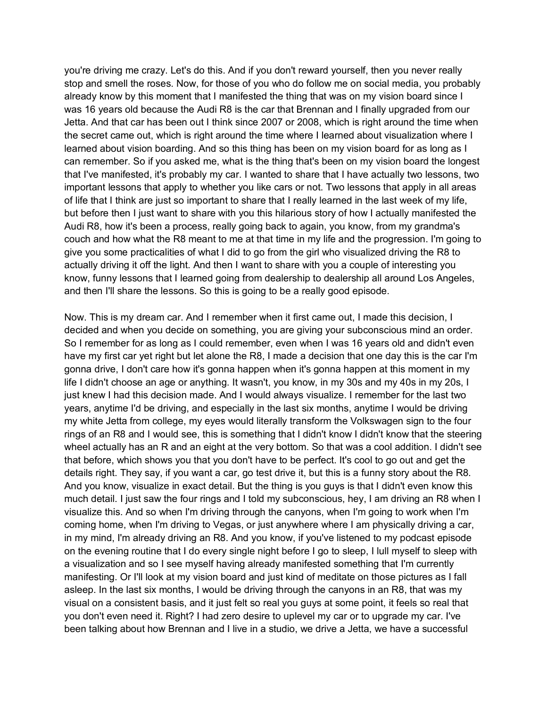you're driving me crazy. Let's do this. And if you don't reward yourself, then you never really stop and smell the roses. Now, for those of you who do follow me on social media, you probably already know by this moment that I manifested the thing that was on my vision board since I was 16 years old because the Audi R8 is the car that Brennan and I finally upgraded from our Jetta. And that car has been out I think since 2007 or 2008, which is right around the time when the secret came out, which is right around the time where I learned about visualization where I learned about vision boarding. And so this thing has been on my vision board for as long as I can remember. So if you asked me, what is the thing that's been on my vision board the longest that I've manifested, it's probably my car. I wanted to share that I have actually two lessons, two important lessons that apply to whether you like cars or not. Two lessons that apply in all areas of life that I think are just so important to share that I really learned in the last week of my life, but before then I just want to share with you this hilarious story of how I actually manifested the Audi R8, how it's been a process, really going back to again, you know, from my grandma's couch and how what the R8 meant to me at that time in my life and the progression. I'm going to give you some practicalities of what I did to go from the girl who visualized driving the R8 to actually driving it off the light. And then I want to share with you a couple of interesting you know, funny lessons that I learned going from dealership to dealership all around Los Angeles, and then I'll share the lessons. So this is going to be a really good episode.

Now. This is my dream car. And I remember when it first came out, I made this decision, I decided and when you decide on something, you are giving your subconscious mind an order. So I remember for as long as I could remember, even when I was 16 years old and didn't even have my first car yet right but let alone the R8, I made a decision that one day this is the car I'm gonna drive, I don't care how it's gonna happen when it's gonna happen at this moment in my life I didn't choose an age or anything. It wasn't, you know, in my 30s and my 40s in my 20s, I just knew I had this decision made. And I would always visualize. I remember for the last two years, anytime I'd be driving, and especially in the last six months, anytime I would be driving my white Jetta from college, my eyes would literally transform the Volkswagen sign to the four rings of an R8 and I would see, this is something that I didn't know I didn't know that the steering wheel actually has an R and an eight at the very bottom. So that was a cool addition. I didn't see that before, which shows you that you don't have to be perfect. It's cool to go out and get the details right. They say, if you want a car, go test drive it, but this is a funny story about the R8. And you know, visualize in exact detail. But the thing is you guys is that I didn't even know this much detail. I just saw the four rings and I told my subconscious, hey, I am driving an R8 when I visualize this. And so when I'm driving through the canyons, when I'm going to work when I'm coming home, when I'm driving to Vegas, or just anywhere where I am physically driving a car, in my mind, I'm already driving an R8. And you know, if you've listened to my podcast episode on the evening routine that I do every single night before I go to sleep, I lull myself to sleep with a visualization and so I see myself having already manifested something that I'm currently manifesting. Or I'll look at my vision board and just kind of meditate on those pictures as I fall asleep. In the last six months, I would be driving through the canyons in an R8, that was my visual on a consistent basis, and it just felt so real you guys at some point, it feels so real that you don't even need it. Right? I had zero desire to uplevel my car or to upgrade my car. I've been talking about how Brennan and I live in a studio, we drive a Jetta, we have a successful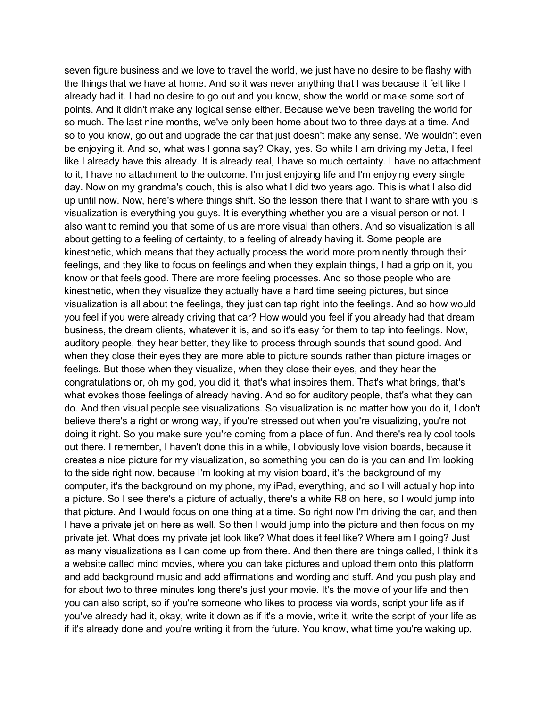seven figure business and we love to travel the world, we just have no desire to be flashy with the things that we have at home. And so it was never anything that I was because it felt like I already had it. I had no desire to go out and you know, show the world or make some sort of points. And it didn't make any logical sense either. Because we've been traveling the world for so much. The last nine months, we've only been home about two to three days at a time. And so to you know, go out and upgrade the car that just doesn't make any sense. We wouldn't even be enjoying it. And so, what was I gonna say? Okay, yes. So while I am driving my Jetta, I feel like I already have this already. It is already real, I have so much certainty. I have no attachment to it, I have no attachment to the outcome. I'm just enjoying life and I'm enjoying every single day. Now on my grandma's couch, this is also what I did two years ago. This is what I also did up until now. Now, here's where things shift. So the lesson there that I want to share with you is visualization is everything you guys. It is everything whether you are a visual person or not. I also want to remind you that some of us are more visual than others. And so visualization is all about getting to a feeling of certainty, to a feeling of already having it. Some people are kinesthetic, which means that they actually process the world more prominently through their feelings, and they like to focus on feelings and when they explain things, I had a grip on it, you know or that feels good. There are more feeling processes. And so those people who are kinesthetic, when they visualize they actually have a hard time seeing pictures, but since visualization is all about the feelings, they just can tap right into the feelings. And so how would you feel if you were already driving that car? How would you feel if you already had that dream business, the dream clients, whatever it is, and so it's easy for them to tap into feelings. Now, auditory people, they hear better, they like to process through sounds that sound good. And when they close their eyes they are more able to picture sounds rather than picture images or feelings. But those when they visualize, when they close their eyes, and they hear the congratulations or, oh my god, you did it, that's what inspires them. That's what brings, that's what evokes those feelings of already having. And so for auditory people, that's what they can do. And then visual people see visualizations. So visualization is no matter how you do it, I don't believe there's a right or wrong way, if you're stressed out when you're visualizing, you're not doing it right. So you make sure you're coming from a place of fun. And there's really cool tools out there. I remember, I haven't done this in a while, I obviously love vision boards, because it creates a nice picture for my visualization, so something you can do is you can and I'm looking to the side right now, because I'm looking at my vision board, it's the background of my computer, it's the background on my phone, my iPad, everything, and so I will actually hop into a picture. So I see there's a picture of actually, there's a white R8 on here, so I would jump into that picture. And I would focus on one thing at a time. So right now I'm driving the car, and then I have a private jet on here as well. So then I would jump into the picture and then focus on my private jet. What does my private jet look like? What does it feel like? Where am I going? Just as many visualizations as I can come up from there. And then there are things called, I think it's a website called mind movies, where you can take pictures and upload them onto this platform and add background music and add affirmations and wording and stuff. And you push play and for about two to three minutes long there's just your movie. It's the movie of your life and then you can also script, so if you're someone who likes to process via words, script your life as if you've already had it, okay, write it down as if it's a movie, write it, write the script of your life as if it's already done and you're writing it from the future. You know, what time you're waking up,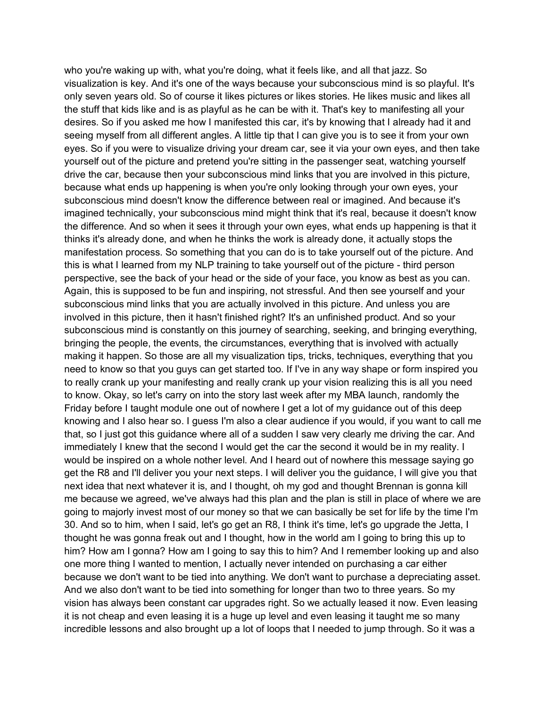who you're waking up with, what you're doing, what it feels like, and all that jazz. So visualization is key. And it's one of the ways because your subconscious mind is so playful. It's only seven years old. So of course it likes pictures or likes stories. He likes music and likes all the stuff that kids like and is as playful as he can be with it. That's key to manifesting all your desires. So if you asked me how I manifested this car, it's by knowing that I already had it and seeing myself from all different angles. A little tip that I can give you is to see it from your own eyes. So if you were to visualize driving your dream car, see it via your own eyes, and then take yourself out of the picture and pretend you're sitting in the passenger seat, watching yourself drive the car, because then your subconscious mind links that you are involved in this picture, because what ends up happening is when you're only looking through your own eyes, your subconscious mind doesn't know the difference between real or imagined. And because it's imagined technically, your subconscious mind might think that it's real, because it doesn't know the difference. And so when it sees it through your own eyes, what ends up happening is that it thinks it's already done, and when he thinks the work is already done, it actually stops the manifestation process. So something that you can do is to take yourself out of the picture. And this is what I learned from my NLP training to take yourself out of the picture - third person perspective, see the back of your head or the side of your face, you know as best as you can. Again, this is supposed to be fun and inspiring, not stressful. And then see yourself and your subconscious mind links that you are actually involved in this picture. And unless you are involved in this picture, then it hasn't finished right? It's an unfinished product. And so your subconscious mind is constantly on this journey of searching, seeking, and bringing everything, bringing the people, the events, the circumstances, everything that is involved with actually making it happen. So those are all my visualization tips, tricks, techniques, everything that you need to know so that you guys can get started too. If I've in any way shape or form inspired you to really crank up your manifesting and really crank up your vision realizing this is all you need to know. Okay, so let's carry on into the story last week after my MBA launch, randomly the Friday before I taught module one out of nowhere I get a lot of my guidance out of this deep knowing and I also hear so. I guess I'm also a clear audience if you would, if you want to call me that, so I just got this guidance where all of a sudden I saw very clearly me driving the car. And immediately I knew that the second I would get the car the second it would be in my reality. I would be inspired on a whole nother level. And I heard out of nowhere this message saying go get the R8 and I'll deliver you your next steps. I will deliver you the guidance, I will give you that next idea that next whatever it is, and I thought, oh my god and thought Brennan is gonna kill me because we agreed, we've always had this plan and the plan is still in place of where we are going to majorly invest most of our money so that we can basically be set for life by the time I'm 30. And so to him, when I said, let's go get an R8, I think it's time, let's go upgrade the Jetta, I thought he was gonna freak out and I thought, how in the world am I going to bring this up to him? How am I gonna? How am I going to say this to him? And I remember looking up and also one more thing I wanted to mention, I actually never intended on purchasing a car either because we don't want to be tied into anything. We don't want to purchase a depreciating asset. And we also don't want to be tied into something for longer than two to three years. So my vision has always been constant car upgrades right. So we actually leased it now. Even leasing it is not cheap and even leasing it is a huge up level and even leasing it taught me so many incredible lessons and also brought up a lot of loops that I needed to jump through. So it was a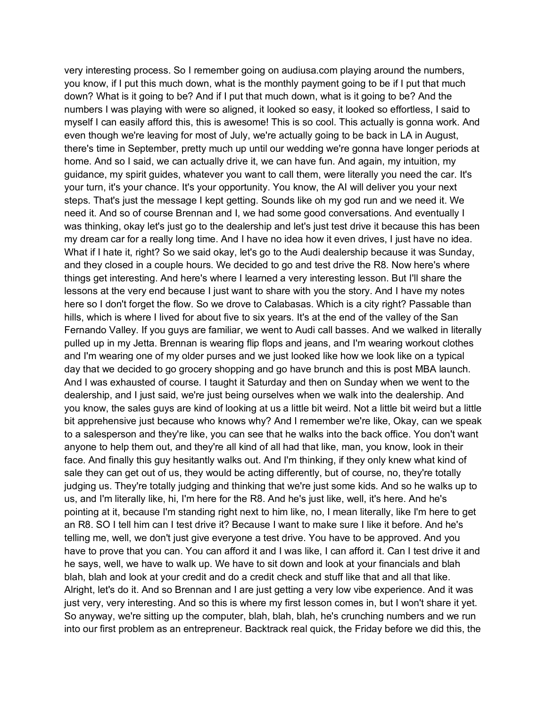very interesting process. So I remember going on audiusa.com playing around the numbers, you know, if I put this much down, what is the monthly payment going to be if I put that much down? What is it going to be? And if I put that much down, what is it going to be? And the numbers I was playing with were so aligned, it looked so easy, it looked so effortless, I said to myself I can easily afford this, this is awesome! This is so cool. This actually is gonna work. And even though we're leaving for most of July, we're actually going to be back in LA in August, there's time in September, pretty much up until our wedding we're gonna have longer periods at home. And so I said, we can actually drive it, we can have fun. And again, my intuition, my guidance, my spirit guides, whatever you want to call them, were literally you need the car. It's your turn, it's your chance. It's your opportunity. You know, the AI will deliver you your next steps. That's just the message I kept getting. Sounds like oh my god run and we need it. We need it. And so of course Brennan and I, we had some good conversations. And eventually I was thinking, okay let's just go to the dealership and let's just test drive it because this has been my dream car for a really long time. And I have no idea how it even drives, I just have no idea. What if I hate it, right? So we said okay, let's go to the Audi dealership because it was Sunday, and they closed in a couple hours. We decided to go and test drive the R8. Now here's where things get interesting. And here's where I learned a very interesting lesson. But I'll share the lessons at the very end because I just want to share with you the story. And I have my notes here so I don't forget the flow. So we drove to Calabasas. Which is a city right? Passable than hills, which is where I lived for about five to six years. It's at the end of the valley of the San Fernando Valley. If you guys are familiar, we went to Audi call basses. And we walked in literally pulled up in my Jetta. Brennan is wearing flip flops and jeans, and I'm wearing workout clothes and I'm wearing one of my older purses and we just looked like how we look like on a typical day that we decided to go grocery shopping and go have brunch and this is post MBA launch. And I was exhausted of course. I taught it Saturday and then on Sunday when we went to the dealership, and I just said, we're just being ourselves when we walk into the dealership. And you know, the sales guys are kind of looking at us a little bit weird. Not a little bit weird but a little bit apprehensive just because who knows why? And I remember we're like, Okay, can we speak to a salesperson and they're like, you can see that he walks into the back office. You don't want anyone to help them out, and they're all kind of all had that like, man, you know, look in their face. And finally this guy hesitantly walks out. And I'm thinking, if they only knew what kind of sale they can get out of us, they would be acting differently, but of course, no, they're totally judging us. They're totally judging and thinking that we're just some kids. And so he walks up to us, and I'm literally like, hi, I'm here for the R8. And he's just like, well, it's here. And he's pointing at it, because I'm standing right next to him like, no, I mean literally, like I'm here to get an R8. SO I tell him can I test drive it? Because I want to make sure I like it before. And he's telling me, well, we don't just give everyone a test drive. You have to be approved. And you have to prove that you can. You can afford it and I was like, I can afford it. Can I test drive it and he says, well, we have to walk up. We have to sit down and look at your financials and blah blah, blah and look at your credit and do a credit check and stuff like that and all that like. Alright, let's do it. And so Brennan and I are just getting a very low vibe experience. And it was just very, very interesting. And so this is where my first lesson comes in, but I won't share it yet. So anyway, we're sitting up the computer, blah, blah, blah, he's crunching numbers and we run into our first problem as an entrepreneur. Backtrack real quick, the Friday before we did this, the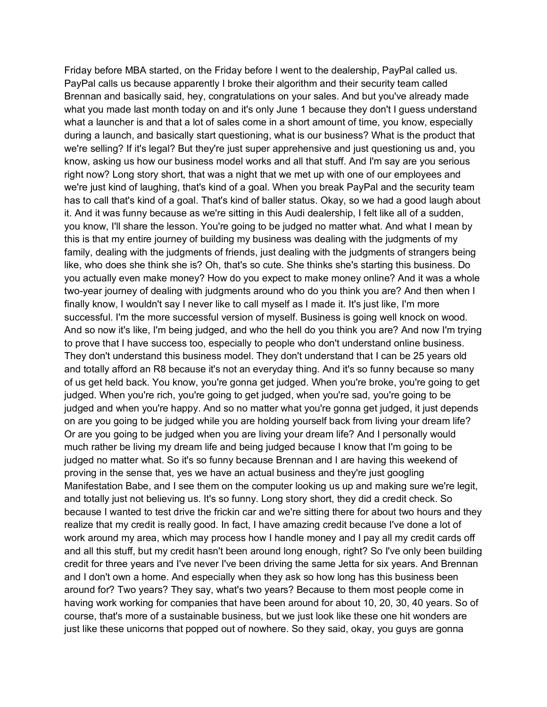Friday before MBA started, on the Friday before I went to the dealership, PayPal called us. PayPal calls us because apparently I broke their algorithm and their security team called Brennan and basically said, hey, congratulations on your sales. And but you've already made what you made last month today on and it's only June 1 because they don't I guess understand what a launcher is and that a lot of sales come in a short amount of time, you know, especially during a launch, and basically start questioning, what is our business? What is the product that we're selling? If it's legal? But they're just super apprehensive and just questioning us and, you know, asking us how our business model works and all that stuff. And I'm say are you serious right now? Long story short, that was a night that we met up with one of our employees and we're just kind of laughing, that's kind of a goal. When you break PayPal and the security team has to call that's kind of a goal. That's kind of baller status. Okay, so we had a good laugh about it. And it was funny because as we're sitting in this Audi dealership, I felt like all of a sudden, you know, I'll share the lesson. You're going to be judged no matter what. And what I mean by this is that my entire journey of building my business was dealing with the judgments of my family, dealing with the judgments of friends, just dealing with the judgments of strangers being like, who does she think she is? Oh, that's so cute. She thinks she's starting this business. Do you actually even make money? How do you expect to make money online? And it was a whole two-year journey of dealing with judgments around who do you think you are? And then when I finally know, I wouldn't say I never like to call myself as I made it. It's just like, I'm more successful. I'm the more successful version of myself. Business is going well knock on wood. And so now it's like, I'm being judged, and who the hell do you think you are? And now I'm trying to prove that I have success too, especially to people who don't understand online business. They don't understand this business model. They don't understand that I can be 25 years old and totally afford an R8 because it's not an everyday thing. And it's so funny because so many of us get held back. You know, you're gonna get judged. When you're broke, you're going to get judged. When you're rich, you're going to get judged, when you're sad, you're going to be judged and when you're happy. And so no matter what you're gonna get judged, it just depends on are you going to be judged while you are holding yourself back from living your dream life? Or are you going to be judged when you are living your dream life? And I personally would much rather be living my dream life and being judged because I know that I'm going to be judged no matter what. So it's so funny because Brennan and I are having this weekend of proving in the sense that, yes we have an actual business and they're just googling Manifestation Babe, and I see them on the computer looking us up and making sure we're legit, and totally just not believing us. It's so funny. Long story short, they did a credit check. So because I wanted to test drive the frickin car and we're sitting there for about two hours and they realize that my credit is really good. In fact, I have amazing credit because I've done a lot of work around my area, which may process how I handle money and I pay all my credit cards off and all this stuff, but my credit hasn't been around long enough, right? So I've only been building credit for three years and I've never I've been driving the same Jetta for six years. And Brennan and I don't own a home. And especially when they ask so how long has this business been around for? Two years? They say, what's two years? Because to them most people come in having work working for companies that have been around for about 10, 20, 30, 40 years. So of course, that's more of a sustainable business, but we just look like these one hit wonders are just like these unicorns that popped out of nowhere. So they said, okay, you guys are gonna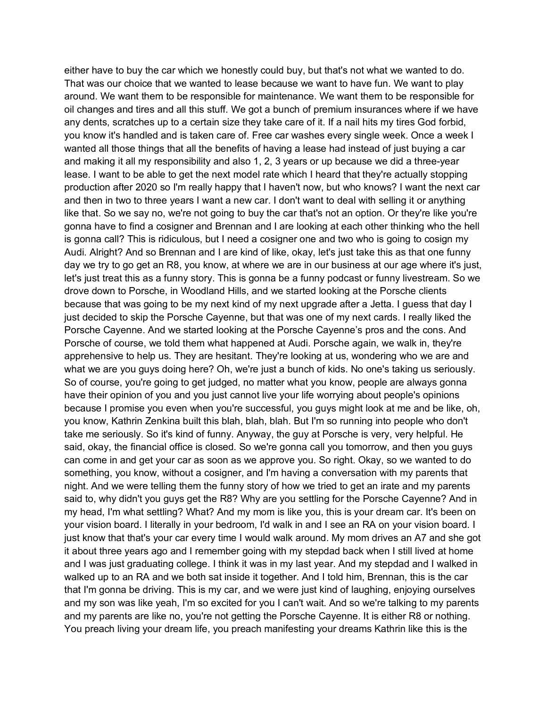either have to buy the car which we honestly could buy, but that's not what we wanted to do. That was our choice that we wanted to lease because we want to have fun. We want to play around. We want them to be responsible for maintenance. We want them to be responsible for oil changes and tires and all this stuff. We got a bunch of premium insurances where if we have any dents, scratches up to a certain size they take care of it. If a nail hits my tires God forbid, you know it's handled and is taken care of. Free car washes every single week. Once a week I wanted all those things that all the benefits of having a lease had instead of just buying a car and making it all my responsibility and also 1, 2, 3 years or up because we did a three-year lease. I want to be able to get the next model rate which I heard that they're actually stopping production after 2020 so I'm really happy that I haven't now, but who knows? I want the next car and then in two to three years I want a new car. I don't want to deal with selling it or anything like that. So we say no, we're not going to buy the car that's not an option. Or they're like you're gonna have to find a cosigner and Brennan and I are looking at each other thinking who the hell is gonna call? This is ridiculous, but I need a cosigner one and two who is going to cosign my Audi. Alright? And so Brennan and I are kind of like, okay, let's just take this as that one funny day we try to go get an R8, you know, at where we are in our business at our age where it's just, let's just treat this as a funny story. This is gonna be a funny podcast or funny livestream. So we drove down to Porsche, in Woodland Hills, and we started looking at the Porsche clients because that was going to be my next kind of my next upgrade after a Jetta. I guess that day I just decided to skip the Porsche Cayenne, but that was one of my next cards. I really liked the Porsche Cayenne. And we started looking at the Porsche Cayenne's pros and the cons. And Porsche of course, we told them what happened at Audi. Porsche again, we walk in, they're apprehensive to help us. They are hesitant. They're looking at us, wondering who we are and what we are you guys doing here? Oh, we're just a bunch of kids. No one's taking us seriously. So of course, you're going to get judged, no matter what you know, people are always gonna have their opinion of you and you just cannot live your life worrying about people's opinions because I promise you even when you're successful, you guys might look at me and be like, oh, you know, Kathrin Zenkina built this blah, blah, blah. But I'm so running into people who don't take me seriously. So it's kind of funny. Anyway, the guy at Porsche is very, very helpful. He said, okay, the financial office is closed. So we're gonna call you tomorrow, and then you guys can come in and get your car as soon as we approve you. So right. Okay, so we wanted to do something, you know, without a cosigner, and I'm having a conversation with my parents that night. And we were telling them the funny story of how we tried to get an irate and my parents said to, why didn't you guys get the R8? Why are you settling for the Porsche Cayenne? And in my head, I'm what settling? What? And my mom is like you, this is your dream car. It's been on your vision board. I literally in your bedroom, I'd walk in and I see an RA on your vision board. I just know that that's your car every time I would walk around. My mom drives an A7 and she got it about three years ago and I remember going with my stepdad back when I still lived at home and I was just graduating college. I think it was in my last year. And my stepdad and I walked in walked up to an RA and we both sat inside it together. And I told him, Brennan, this is the car that I'm gonna be driving. This is my car, and we were just kind of laughing, enjoying ourselves and my son was like yeah, I'm so excited for you I can't wait. And so we're talking to my parents and my parents are like no, you're not getting the Porsche Cayenne. It is either R8 or nothing. You preach living your dream life, you preach manifesting your dreams Kathrin like this is the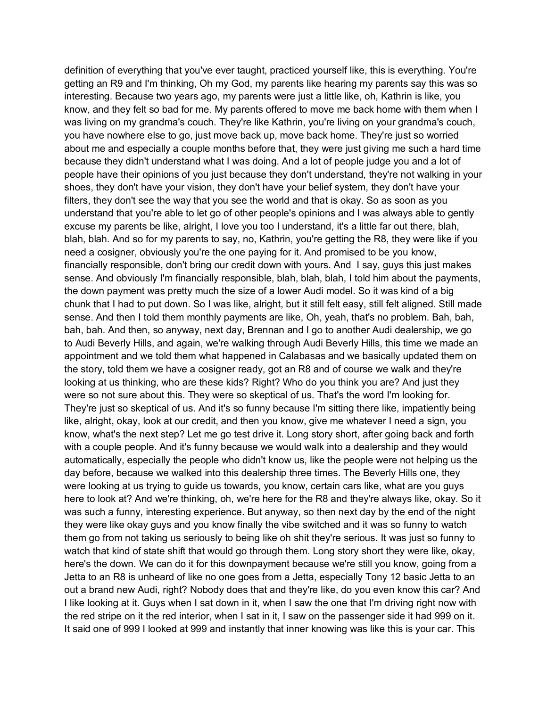definition of everything that you've ever taught, practiced yourself like, this is everything. You're getting an R9 and I'm thinking, Oh my God, my parents like hearing my parents say this was so interesting. Because two years ago, my parents were just a little like, oh, Kathrin is like, you know, and they felt so bad for me. My parents offered to move me back home with them when I was living on my grandma's couch. They're like Kathrin, you're living on your grandma's couch, you have nowhere else to go, just move back up, move back home. They're just so worried about me and especially a couple months before that, they were just giving me such a hard time because they didn't understand what I was doing. And a lot of people judge you and a lot of people have their opinions of you just because they don't understand, they're not walking in your shoes, they don't have your vision, they don't have your belief system, they don't have your filters, they don't see the way that you see the world and that is okay. So as soon as you understand that you're able to let go of other people's opinions and I was always able to gently excuse my parents be like, alright, I love you too I understand, it's a little far out there, blah, blah, blah. And so for my parents to say, no, Kathrin, you're getting the R8, they were like if you need a cosigner, obviously you're the one paying for it. And promised to be you know, financially responsible, don't bring our credit down with yours. And I say, guys this just makes sense. And obviously I'm financially responsible, blah, blah, blah, I told him about the payments, the down payment was pretty much the size of a lower Audi model. So it was kind of a big chunk that I had to put down. So I was like, alright, but it still felt easy, still felt aligned. Still made sense. And then I told them monthly payments are like, Oh, yeah, that's no problem. Bah, bah, bah, bah. And then, so anyway, next day, Brennan and I go to another Audi dealership, we go to Audi Beverly Hills, and again, we're walking through Audi Beverly Hills, this time we made an appointment and we told them what happened in Calabasas and we basically updated them on the story, told them we have a cosigner ready, got an R8 and of course we walk and they're looking at us thinking, who are these kids? Right? Who do you think you are? And just they were so not sure about this. They were so skeptical of us. That's the word I'm looking for. They're just so skeptical of us. And it's so funny because I'm sitting there like, impatiently being like, alright, okay, look at our credit, and then you know, give me whatever I need a sign, you know, what's the next step? Let me go test drive it. Long story short, after going back and forth with a couple people. And it's funny because we would walk into a dealership and they would automatically, especially the people who didn't know us, like the people were not helping us the day before, because we walked into this dealership three times. The Beverly Hills one, they were looking at us trying to guide us towards, you know, certain cars like, what are you guys here to look at? And we're thinking, oh, we're here for the R8 and they're always like, okay. So it was such a funny, interesting experience. But anyway, so then next day by the end of the night they were like okay guys and you know finally the vibe switched and it was so funny to watch them go from not taking us seriously to being like oh shit they're serious. It was just so funny to watch that kind of state shift that would go through them. Long story short they were like, okay, here's the down. We can do it for this downpayment because we're still you know, going from a Jetta to an R8 is unheard of like no one goes from a Jetta, especially Tony 12 basic Jetta to an out a brand new Audi, right? Nobody does that and they're like, do you even know this car? And I like looking at it. Guys when I sat down in it, when I saw the one that I'm driving right now with the red stripe on it the red interior, when I sat in it, I saw on the passenger side it had 999 on it. It said one of 999 I looked at 999 and instantly that inner knowing was like this is your car. This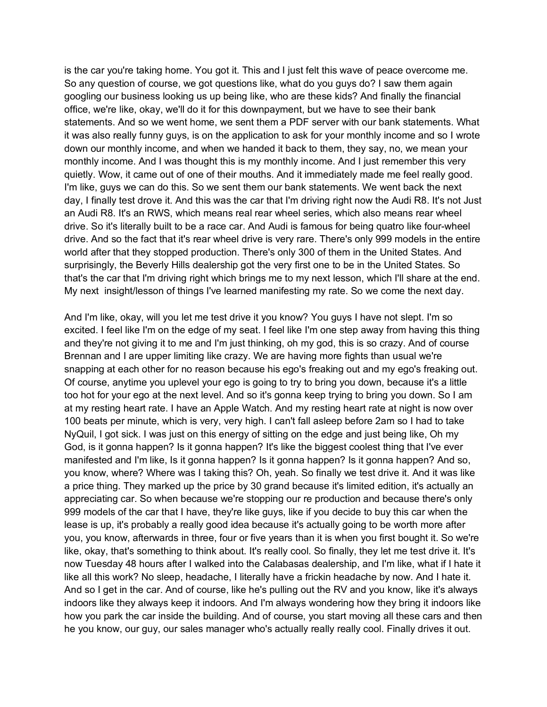is the car you're taking home. You got it. This and I just felt this wave of peace overcome me. So any question of course, we got questions like, what do you guys do? I saw them again googling our business looking us up being like, who are these kids? And finally the financial office, we're like, okay, we'll do it for this downpayment, but we have to see their bank statements. And so we went home, we sent them a PDF server with our bank statements. What it was also really funny guys, is on the application to ask for your monthly income and so I wrote down our monthly income, and when we handed it back to them, they say, no, we mean your monthly income. And I was thought this is my monthly income. And I just remember this very quietly. Wow, it came out of one of their mouths. And it immediately made me feel really good. I'm like, guys we can do this. So we sent them our bank statements. We went back the next day, I finally test drove it. And this was the car that I'm driving right now the Audi R8. It's not Just an Audi R8. It's an RWS, which means real rear wheel series, which also means rear wheel drive. So it's literally built to be a race car. And Audi is famous for being quatro like four-wheel drive. And so the fact that it's rear wheel drive is very rare. There's only 999 models in the entire world after that they stopped production. There's only 300 of them in the United States. And surprisingly, the Beverly Hills dealership got the very first one to be in the United States. So that's the car that I'm driving right which brings me to my next lesson, which I'll share at the end. My next insight/lesson of things I've learned manifesting my rate. So we come the next day.

And I'm like, okay, will you let me test drive it you know? You guys I have not slept. I'm so excited. I feel like I'm on the edge of my seat. I feel like I'm one step away from having this thing and they're not giving it to me and I'm just thinking, oh my god, this is so crazy. And of course Brennan and I are upper limiting like crazy. We are having more fights than usual we're snapping at each other for no reason because his ego's freaking out and my ego's freaking out. Of course, anytime you uplevel your ego is going to try to bring you down, because it's a little too hot for your ego at the next level. And so it's gonna keep trying to bring you down. So I am at my resting heart rate. I have an Apple Watch. And my resting heart rate at night is now over 100 beats per minute, which is very, very high. I can't fall asleep before 2am so I had to take NyQuil, I got sick. I was just on this energy of sitting on the edge and just being like, Oh my God, is it gonna happen? Is it gonna happen? It's like the biggest coolest thing that I've ever manifested and I'm like, Is it gonna happen? Is it gonna happen? Is it gonna happen? And so, you know, where? Where was I taking this? Oh, yeah. So finally we test drive it. And it was like a price thing. They marked up the price by 30 grand because it's limited edition, it's actually an appreciating car. So when because we're stopping our re production and because there's only 999 models of the car that I have, they're like guys, like if you decide to buy this car when the lease is up, it's probably a really good idea because it's actually going to be worth more after you, you know, afterwards in three, four or five years than it is when you first bought it. So we're like, okay, that's something to think about. It's really cool. So finally, they let me test drive it. It's now Tuesday 48 hours after I walked into the Calabasas dealership, and I'm like, what if I hate it like all this work? No sleep, headache, I literally have a frickin headache by now. And I hate it. And so I get in the car. And of course, like he's pulling out the RV and you know, like it's always indoors like they always keep it indoors. And I'm always wondering how they bring it indoors like how you park the car inside the building. And of course, you start moving all these cars and then he you know, our guy, our sales manager who's actually really really cool. Finally drives it out.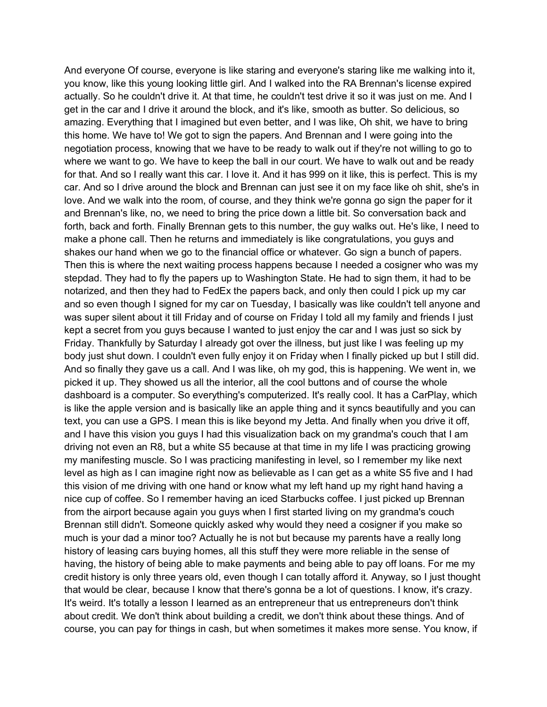And everyone Of course, everyone is like staring and everyone's staring like me walking into it, you know, like this young looking little girl. And I walked into the RA Brennan's license expired actually. So he couldn't drive it. At that time, he couldn't test drive it so it was just on me. And I get in the car and I drive it around the block, and it's like, smooth as butter. So delicious, so amazing. Everything that I imagined but even better, and I was like, Oh shit, we have to bring this home. We have to! We got to sign the papers. And Brennan and I were going into the negotiation process, knowing that we have to be ready to walk out if they're not willing to go to where we want to go. We have to keep the ball in our court. We have to walk out and be ready for that. And so I really want this car. I love it. And it has 999 on it like, this is perfect. This is my car. And so I drive around the block and Brennan can just see it on my face like oh shit, she's in love. And we walk into the room, of course, and they think we're gonna go sign the paper for it and Brennan's like, no, we need to bring the price down a little bit. So conversation back and forth, back and forth. Finally Brennan gets to this number, the guy walks out. He's like, I need to make a phone call. Then he returns and immediately is like congratulations, you guys and shakes our hand when we go to the financial office or whatever. Go sign a bunch of papers. Then this is where the next waiting process happens because I needed a cosigner who was my stepdad. They had to fly the papers up to Washington State. He had to sign them, it had to be notarized, and then they had to FedEx the papers back, and only then could I pick up my car and so even though I signed for my car on Tuesday, I basically was like couldn't tell anyone and was super silent about it till Friday and of course on Friday I told all my family and friends I just kept a secret from you guys because I wanted to just enjoy the car and I was just so sick by Friday. Thankfully by Saturday I already got over the illness, but just like I was feeling up my body just shut down. I couldn't even fully enjoy it on Friday when I finally picked up but I still did. And so finally they gave us a call. And I was like, oh my god, this is happening. We went in, we picked it up. They showed us all the interior, all the cool buttons and of course the whole dashboard is a computer. So everything's computerized. It's really cool. It has a CarPlay, which is like the apple version and is basically like an apple thing and it syncs beautifully and you can text, you can use a GPS. I mean this is like beyond my Jetta. And finally when you drive it off, and I have this vision you guys I had this visualization back on my grandma's couch that I am driving not even an R8, but a white S5 because at that time in my life I was practicing growing my manifesting muscle. So I was practicing manifesting in level, so I remember my like next level as high as I can imagine right now as believable as I can get as a white S5 five and I had this vision of me driving with one hand or know what my left hand up my right hand having a nice cup of coffee. So I remember having an iced Starbucks coffee. I just picked up Brennan from the airport because again you guys when I first started living on my grandma's couch Brennan still didn't. Someone quickly asked why would they need a cosigner if you make so much is your dad a minor too? Actually he is not but because my parents have a really long history of leasing cars buying homes, all this stuff they were more reliable in the sense of having, the history of being able to make payments and being able to pay off loans. For me my credit history is only three years old, even though I can totally afford it. Anyway, so I just thought that would be clear, because I know that there's gonna be a lot of questions. I know, it's crazy. It's weird. It's totally a lesson I learned as an entrepreneur that us entrepreneurs don't think about credit. We don't think about building a credit, we don't think about these things. And of course, you can pay for things in cash, but when sometimes it makes more sense. You know, if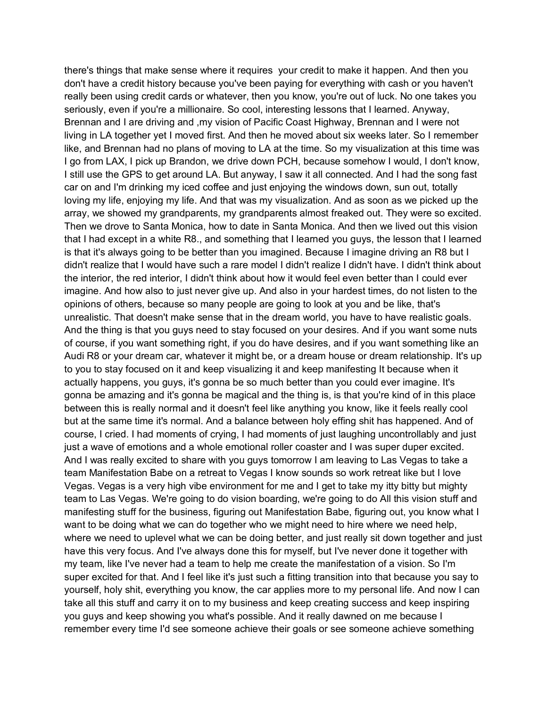there's things that make sense where it requires your credit to make it happen. And then you don't have a credit history because you've been paying for everything with cash or you haven't really been using credit cards or whatever, then you know, you're out of luck. No one takes you seriously, even if you're a millionaire. So cool, interesting lessons that I learned. Anyway, Brennan and I are driving and ,my vision of Pacific Coast Highway, Brennan and I were not living in LA together yet I moved first. And then he moved about six weeks later. So I remember like, and Brennan had no plans of moving to LA at the time. So my visualization at this time was I go from LAX, I pick up Brandon, we drive down PCH, because somehow I would, I don't know, I still use the GPS to get around LA. But anyway, I saw it all connected. And I had the song fast car on and I'm drinking my iced coffee and just enjoying the windows down, sun out, totally loving my life, enjoying my life. And that was my visualization. And as soon as we picked up the array, we showed my grandparents, my grandparents almost freaked out. They were so excited. Then we drove to Santa Monica, how to date in Santa Monica. And then we lived out this vision that I had except in a white R8., and something that I learned you guys, the lesson that I learned is that it's always going to be better than you imagined. Because I imagine driving an R8 but I didn't realize that I would have such a rare model I didn't realize I didn't have. I didn't think about the interior, the red interior, I didn't think about how it would feel even better than I could ever imagine. And how also to just never give up. And also in your hardest times, do not listen to the opinions of others, because so many people are going to look at you and be like, that's unrealistic. That doesn't make sense that in the dream world, you have to have realistic goals. And the thing is that you guys need to stay focused on your desires. And if you want some nuts of course, if you want something right, if you do have desires, and if you want something like an Audi R8 or your dream car, whatever it might be, or a dream house or dream relationship. It's up to you to stay focused on it and keep visualizing it and keep manifesting It because when it actually happens, you guys, it's gonna be so much better than you could ever imagine. It's gonna be amazing and it's gonna be magical and the thing is, is that you're kind of in this place between this is really normal and it doesn't feel like anything you know, like it feels really cool but at the same time it's normal. And a balance between holy effing shit has happened. And of course, I cried. I had moments of crying, I had moments of just laughing uncontrollably and just just a wave of emotions and a whole emotional roller coaster and I was super duper excited. And I was really excited to share with you guys tomorrow I am leaving to Las Vegas to take a team Manifestation Babe on a retreat to Vegas I know sounds so work retreat like but I love Vegas. Vegas is a very high vibe environment for me and I get to take my itty bitty but mighty team to Las Vegas. We're going to do vision boarding, we're going to do All this vision stuff and manifesting stuff for the business, figuring out Manifestation Babe, figuring out, you know what I want to be doing what we can do together who we might need to hire where we need help, where we need to uplevel what we can be doing better, and just really sit down together and just have this very focus. And I've always done this for myself, but I've never done it together with my team, like I've never had a team to help me create the manifestation of a vision. So I'm super excited for that. And I feel like it's just such a fitting transition into that because you say to yourself, holy shit, everything you know, the car applies more to my personal life. And now I can take all this stuff and carry it on to my business and keep creating success and keep inspiring you guys and keep showing you what's possible. And it really dawned on me because I remember every time I'd see someone achieve their goals or see someone achieve something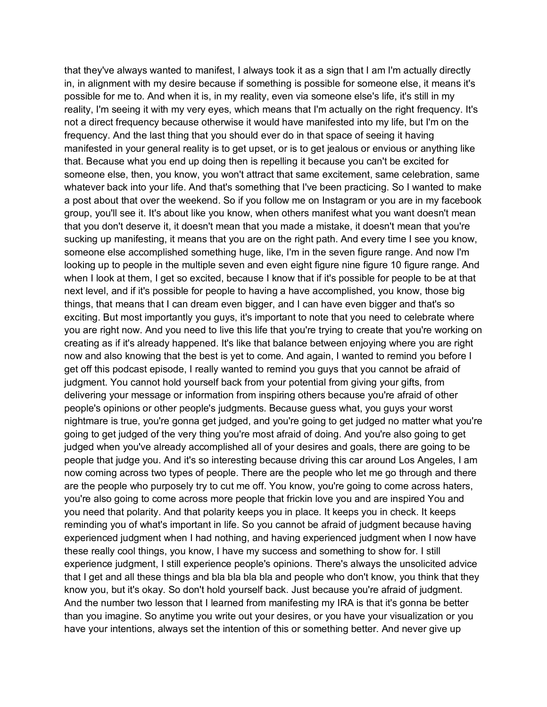that they've always wanted to manifest, I always took it as a sign that I am I'm actually directly in, in alignment with my desire because if something is possible for someone else, it means it's possible for me to. And when it is, in my reality, even via someone else's life, it's still in my reality, I'm seeing it with my very eyes, which means that I'm actually on the right frequency. It's not a direct frequency because otherwise it would have manifested into my life, but I'm on the frequency. And the last thing that you should ever do in that space of seeing it having manifested in your general reality is to get upset, or is to get jealous or envious or anything like that. Because what you end up doing then is repelling it because you can't be excited for someone else, then, you know, you won't attract that same excitement, same celebration, same whatever back into your life. And that's something that I've been practicing. So I wanted to make a post about that over the weekend. So if you follow me on Instagram or you are in my facebook group, you'll see it. It's about like you know, when others manifest what you want doesn't mean that you don't deserve it, it doesn't mean that you made a mistake, it doesn't mean that you're sucking up manifesting, it means that you are on the right path. And every time I see you know, someone else accomplished something huge, like, I'm in the seven figure range. And now I'm looking up to people in the multiple seven and even eight figure nine figure 10 figure range. And when I look at them, I get so excited, because I know that if it's possible for people to be at that next level, and if it's possible for people to having a have accomplished, you know, those big things, that means that I can dream even bigger, and I can have even bigger and that's so exciting. But most importantly you guys, it's important to note that you need to celebrate where you are right now. And you need to live this life that you're trying to create that you're working on creating as if it's already happened. It's like that balance between enjoying where you are right now and also knowing that the best is yet to come. And again, I wanted to remind you before I get off this podcast episode, I really wanted to remind you guys that you cannot be afraid of judgment. You cannot hold yourself back from your potential from giving your gifts, from delivering your message or information from inspiring others because you're afraid of other people's opinions or other people's judgments. Because guess what, you guys your worst nightmare is true, you're gonna get judged, and you're going to get judged no matter what you're going to get judged of the very thing you're most afraid of doing. And you're also going to get judged when you've already accomplished all of your desires and goals, there are going to be people that judge you. And it's so interesting because driving this car around Los Angeles, I am now coming across two types of people. There are the people who let me go through and there are the people who purposely try to cut me off. You know, you're going to come across haters, you're also going to come across more people that frickin love you and are inspired You and you need that polarity. And that polarity keeps you in place. It keeps you in check. It keeps reminding you of what's important in life. So you cannot be afraid of judgment because having experienced judgment when I had nothing, and having experienced judgment when I now have these really cool things, you know, I have my success and something to show for. I still experience judgment, I still experience people's opinions. There's always the unsolicited advice that I get and all these things and bla bla bla bla and people who don't know, you think that they know you, but it's okay. So don't hold yourself back. Just because you're afraid of judgment. And the number two lesson that I learned from manifesting my IRA is that it's gonna be better than you imagine. So anytime you write out your desires, or you have your visualization or you have your intentions, always set the intention of this or something better. And never give up